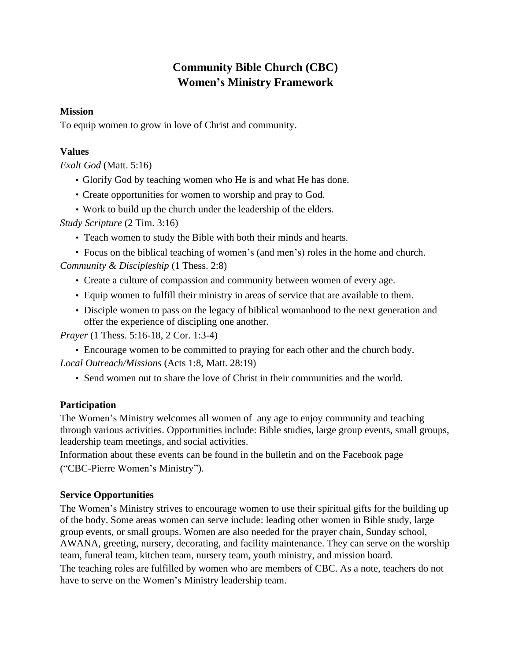# **Community Bible Church (CBC) Women's Ministry Framework**

#### **Mission**

To equip women to grow in love of Christ and community.

#### **Values**

*Exalt God* (Matt. 5:16)

- Glorify God by teaching women who He is and what He has done.
- Create opportunities for women to worship and pray to God.
- Work to build up the church under the leadership of the elders.

*Study Scripture* (2 Tim. 3:16)

- Teach women to study the Bible with both their minds and hearts.
- Focus on the biblical teaching of women's (and men's) roles in the home and church. *Community & Discipleship* (1 Thess. 2:8)
	- Create a culture of compassion and community between women of every age.
	- Equip women to fulfill their ministry in areas of service that are available to them.
	- Disciple women to pass on the legacy of biblical womanhood to the next generation and offer the experience of discipling one another.

*Prayer* (1 Thess. 5:16-18, 2 Cor. 1:3-4)

• Encourage women to be committed to praying for each other and the church body.

*Local Outreach/Missions* (Acts 1:8, Matt. 28:19)

• Send women out to share the love of Christ in their communities and the world.

## **Participation**

The Women's Ministry welcomes all women of any age to enjoy community and teaching through various activities. Opportunities include: Bible studies, large group events, small groups, leadership team meetings, and social activities.

Information about these events can be found in the bulletin and on the Facebook page ("CBC-Pierre Women's Ministry").

## **Service Opportunities**

The Women's Ministry strives to encourage women to use their spiritual gifts for the building up of the body. Some areas women can serve include: leading other women in Bible study, large group events, or small groups. Women are also needed for the prayer chain, Sunday school, AWANA, greeting, nursery, decorating, and facility maintenance. They can serve on the worship team, funeral team, kitchen team, nursery team, youth ministry, and mission board. The teaching roles are fulfilled by women who are members of CBC. As a note, teachers do not have to serve on the Women's Ministry leadership team.